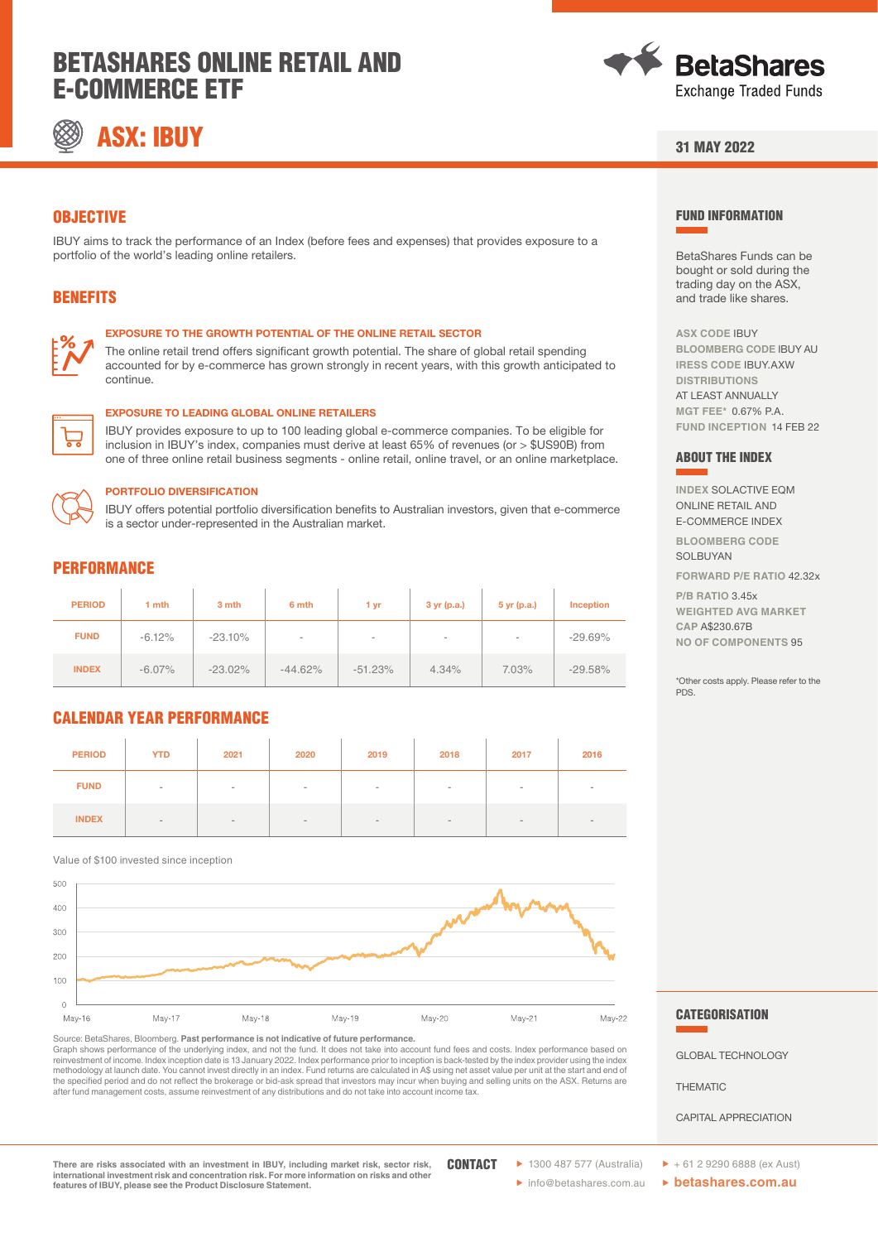# BETASHARES ONLINE RETAIL AND E-COMMERCE ETF



# ASX: IBUY



### 31 MAY 2022

FUND INFORMATION

**ASX CODE** IBUY

ABOUT THE INDEX

**P/B RATIO** 3.45x **WEIGHTED AVG MARKET** 

**CAP** A\$230.67B **NO OF COMPONENTS** 95

PDS.

**INDEX** SOLACTIVE EQM ONLINE RETAIL AND E-COMMERCE INDEX **BLOOMBERG CODE** SOLBUYAN

**FORWARD P/E RATIO** 42.32x

\*Other costs apply. Please refer to the

BetaShares Funds can be bought or sold during the trading day on the ASX, and trade like shares.

**BLOOMBERG CODE** IBUY AU **IRESS CODE** IBUY.AXW **DISTRIBUTIONS** AT LEAST ANNUALLY **MGT FEE\*** 0.67% P.A. **FUND INCEPTION** 14 FEB 22

## **OBJECTIVE**

IBUY aims to track the performance of an Index (before fees and expenses) that provides exposure to a portfolio of the world's leading online retailers.

## BENEFITS



#### EXPOSURE TO THE GROWTH POTENTIAL OF THE ONLINE RETAIL SECTOR

The online retail trend offers significant growth potential. The share of global retail spending accounted for by e-commerce has grown strongly in recent years, with this growth anticipated to continue.

#### EXPOSURE TO LEADING GLOBAL ONLINE RETAILERS

IBUY provides exposure to up to 100 leading global e-commerce companies. To be eligible for inclusion in IBUY's index, companies must derive at least 65% of revenues (or > \$US90B) from one of three online retail business segments - online retail, online travel, or an online marketplace.



#### PORTFOLIO DIVERSIFICATION

IBUY offers potential portfolio diversification benefits to Australian investors, given that e-commerce is a sector under-represented in the Australian market.

### **PERFORMANCE**

| <b>PERIOD</b> | 1 mth     | 3 mth      | 6 mth     | 1 yr       | 3 yr(p.a.)               | $5$ yr (p.a.) | <b>Inception</b> |
|---------------|-----------|------------|-----------|------------|--------------------------|---------------|------------------|
| <b>FUND</b>   | $-6.12%$  | $-23.10%$  | $\sim$    | $\,$       | $\overline{\phantom{a}}$ | $\,$          | $-29.69\%$       |
| <b>INDEX</b>  | $-6.07\%$ | $-23.02\%$ | $-44.62%$ | $-51.23\%$ | 4.34%                    | 7.03%         | $-29.58%$        |

# CALENDAR YEAR PERFORMANCE

| <b>PERIOD</b> | <b>YTD</b> | 2021   | 2020   | 2019   | 2018   | 2017 | 2016 |
|---------------|------------|--------|--------|--------|--------|------|------|
| <b>FUND</b>   | $\,$       | $\sim$ | $\sim$ | $\sim$ | $\,$   | $\,$ |      |
| <b>INDEX</b>  | $\sim$     | $\sim$ | $\sim$ | $-$    | $\sim$ | $\,$ |      |

Value of \$100 invested since inception



Source: BetaShares, Bloomberg. **Past performance is not indicative of future performance.**  Graph shows performance of the underlying index, and not the fund. It does not take into account fund fees and costs. Index performance based on<br>reinvestment of income. Index inception date is 13 January 2022. Index perfor methodology at launch date. You cannot invest directly in an index. Fund returns are calculated in A\$ using net asset value per unit at the start and end of the specified period and do not reflect the brokerage or bid-ask spread that investors may incur when buying and selling units on the ASX. Returns are<br>after fund management costs, assume reinvestment of any distributions a

**CATEGORISATION** 

GLOBAL TECHNOLOGY

THEMATIC

CAPITAL APPRECIATION

**There are risks associated with an investment in IBUY, including market risk, sector risk, international investment risk and concentration risk. For more information on risks and other features of IBUY, please see the Product Disclosure Statement.**

**CONTACT** 

� info@betashares.com.au � **betashares.com.au**

▶ 1300 487 577 (Australia) ▶ + 61 2 9290 6888 (ex Aust)